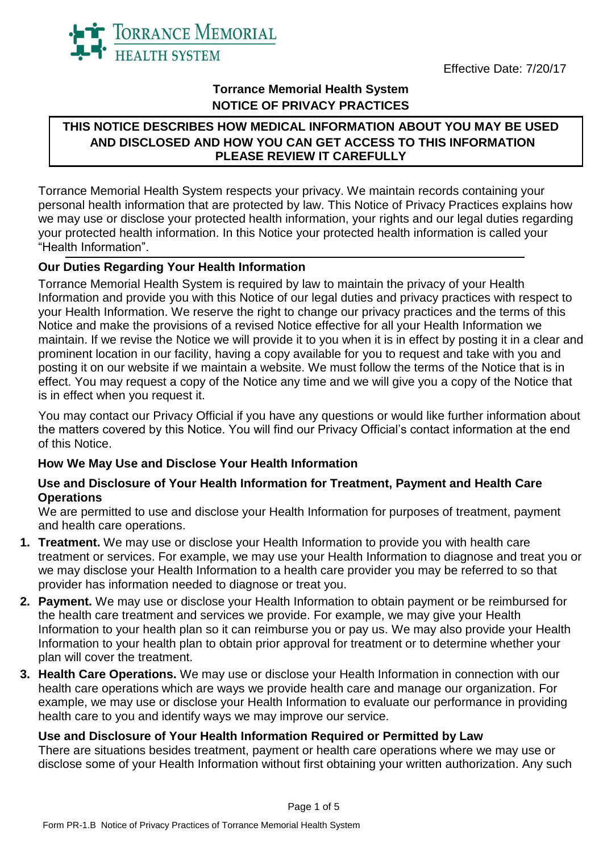



## **Torrance Memorial Health System NOTICE OF PRIVACY PRACTICES**

## **THIS NOTICE DESCRIBES HOW MEDICAL INFORMATION ABOUT YOU MAY BE USED AND DISCLOSED AND HOW YOU CAN GET ACCESS TO THIS INFORMATION PLEASE REVIEW IT CAREFULLY**

Torrance Memorial Health System respects your privacy. We maintain records containing your personal health information that are protected by law. This Notice of Privacy Practices explains how we may use or disclose your protected health information, your rights and our legal duties regarding your protected health information. In this Notice your protected health information is called your "Health Information".

## **Our Duties Regarding Your Health Information**

Torrance Memorial Health System is required by law to maintain the privacy of your Health Information and provide you with this Notice of our legal duties and privacy practices with respect to your Health Information. We reserve the right to change our privacy practices and the terms of this Notice and make the provisions of a revised Notice effective for all your Health Information we maintain. If we revise the Notice we will provide it to you when it is in effect by posting it in a clear and prominent location in our facility, having a copy available for you to request and take with you and posting it on our website if we maintain a website. We must follow the terms of the Notice that is in effect. You may request a copy of the Notice any time and we will give you a copy of the Notice that is in effect when you request it.

You may contact our Privacy Official if you have any questions or would like further information about the matters covered by this Notice. You will find our Privacy Official's contact information at the end of this Notice.

# **How We May Use and Disclose Your Health Information**

### **Use and Disclosure of Your Health Information for Treatment, Payment and Health Care Operations**

We are permitted to use and disclose your Health Information for purposes of treatment, payment and health care operations.

- **1. Treatment.** We may use or disclose your Health Information to provide you with health care treatment or services. For example, we may use your Health Information to diagnose and treat you or we may disclose your Health Information to a health care provider you may be referred to so that provider has information needed to diagnose or treat you.
- **2. Payment.** We may use or disclose your Health Information to obtain payment or be reimbursed for the health care treatment and services we provide. For example, we may give your Health Information to your health plan so it can reimburse you or pay us. We may also provide your Health Information to your health plan to obtain prior approval for treatment or to determine whether your plan will cover the treatment.
- **3. Health Care Operations.** We may use or disclose your Health Information in connection with our health care operations which are ways we provide health care and manage our organization. For example, we may use or disclose your Health Information to evaluate our performance in providing health care to you and identify ways we may improve our service.

### **Use and Disclosure of Your Health Information Required or Permitted by Law**

There are situations besides treatment, payment or health care operations where we may use or disclose some of your Health Information without first obtaining your written authorization. Any such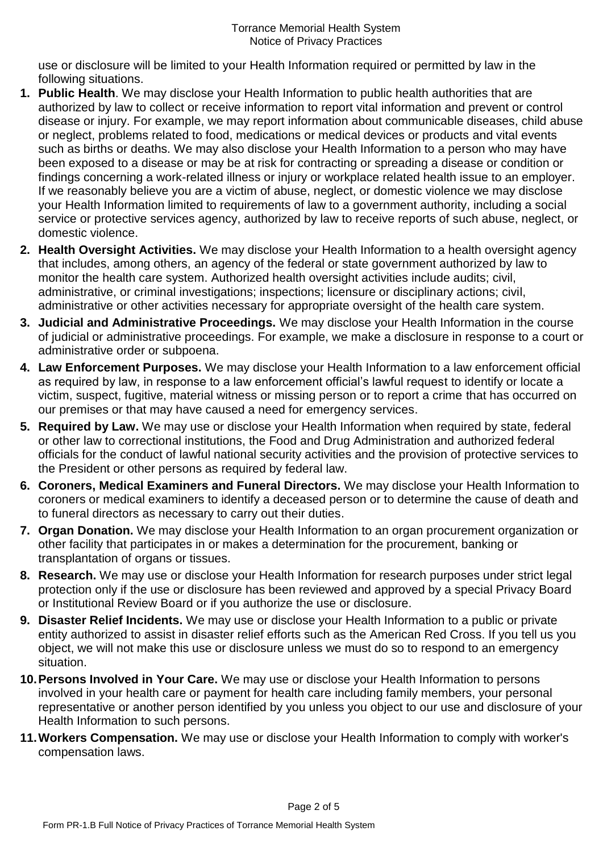use or disclosure will be limited to your Health Information required or permitted by law in the following situations.

- **1. Public Health**. We may disclose your Health Information to public health authorities that are authorized by law to collect or receive information to report vital information and prevent or control disease or injury. For example, we may report information about communicable diseases, child abuse or neglect, problems related to food, medications or medical devices or products and vital events such as births or deaths. We may also disclose your Health Information to a person who may have been exposed to a disease or may be at risk for contracting or spreading a disease or condition or findings concerning a work-related illness or injury or workplace related health issue to an employer. If we reasonably believe you are a victim of abuse, neglect, or domestic violence we may disclose your Health Information limited to requirements of law to a government authority, including a social service or protective services agency, authorized by law to receive reports of such abuse, neglect, or domestic violence.
- **2. Health Oversight Activities.** We may disclose your Health Information to a health oversight agency that includes, among others, an agency of the federal or state government authorized by law to monitor the health care system. Authorized health oversight activities include audits; civil, administrative, or criminal investigations; inspections; licensure or disciplinary actions; civil, administrative or other activities necessary for appropriate oversight of the health care system.
- **3. Judicial and Administrative Proceedings.** We may disclose your Health Information in the course of judicial or administrative proceedings. For example, we make a disclosure in response to a court or administrative order or subpoena.
- **4. Law Enforcement Purposes.** We may disclose your Health Information to a law enforcement official as required by law, in response to a law enforcement official's lawful request to identify or locate a victim, suspect, fugitive, material witness or missing person or to report a crime that has occurred on our premises or that may have caused a need for emergency services.
- **5. Required by Law.** We may use or disclose your Health Information when required by state, federal or other law to correctional institutions, the Food and Drug Administration and authorized federal officials for the conduct of lawful national security activities and the provision of protective services to the President or other persons as required by federal law.
- **6. Coroners, Medical Examiners and Funeral Directors.** We may disclose your Health Information to coroners or medical examiners to identify a deceased person or to determine the cause of death and to funeral directors as necessary to carry out their duties.
- **7. Organ Donation.** We may disclose your Health Information to an organ procurement organization or other facility that participates in or makes a determination for the procurement, banking or transplantation of organs or tissues.
- **8. Research.** We may use or disclose your Health Information for research purposes under strict legal protection only if the use or disclosure has been reviewed and approved by a special Privacy Board or Institutional Review Board or if you authorize the use or disclosure.
- **9. Disaster Relief Incidents.** We may use or disclose your Health Information to a public or private entity authorized to assist in disaster relief efforts such as the American Red Cross. If you tell us you object, we will not make this use or disclosure unless we must do so to respond to an emergency situation.
- **10.Persons Involved in Your Care.** We may use or disclose your Health Information to persons involved in your health care or payment for health care including family members, your personal representative or another person identified by you unless you object to our use and disclosure of your Health Information to such persons.
- **11.Workers Compensation.** We may use or disclose your Health Information to comply with worker's compensation laws.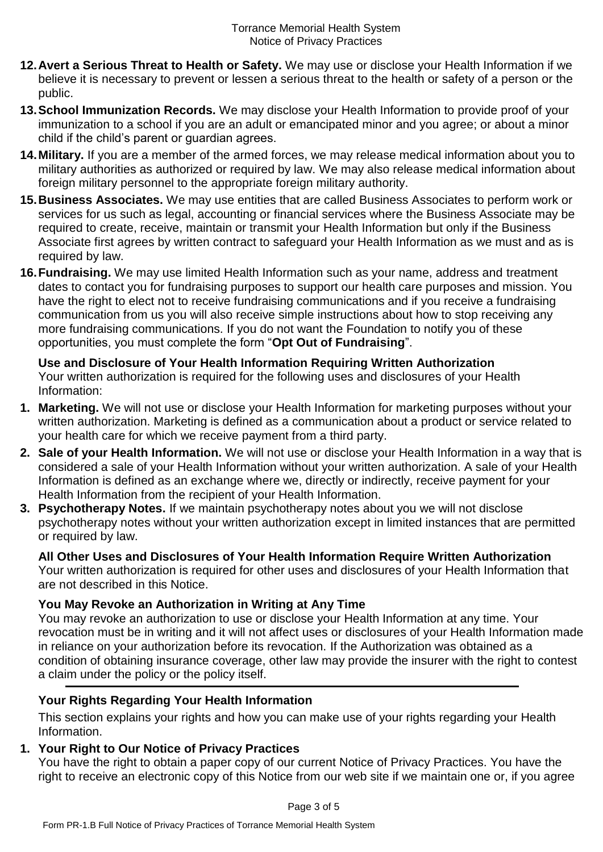- **12.Avert a Serious Threat to Health or Safety.** We may use or disclose your Health Information if we believe it is necessary to prevent or lessen a serious threat to the health or safety of a person or the public.
- **13.School Immunization Records.** We may disclose your Health Information to provide proof of your immunization to a school if you are an adult or emancipated minor and you agree; or about a minor child if the child's parent or guardian agrees.
- **14.Military.** If you are a member of the armed forces, we may release medical information about you to military authorities as authorized or required by law. We may also release medical information about foreign military personnel to the appropriate foreign military authority.
- **15.Business Associates.** We may use entities that are called Business Associates to perform work or services for us such as legal, accounting or financial services where the Business Associate may be required to create, receive, maintain or transmit your Health Information but only if the Business Associate first agrees by written contract to safeguard your Health Information as we must and as is required by law.
- **16.Fundraising.** We may use limited Health Information such as your name, address and treatment dates to contact you for fundraising purposes to support our health care purposes and mission. You have the right to elect not to receive fundraising communications and if you receive a fundraising communication from us you will also receive simple instructions about how to stop receiving any more fundraising communications. If you do not want the Foundation to notify you of these opportunities, you must complete the form "**Opt Out of Fundraising**".

# **Use and Disclosure of Your Health Information Requiring Written Authorization**

Your written authorization is required for the following uses and disclosures of your Health Information:

- **1. Marketing.** We will not use or disclose your Health Information for marketing purposes without your written authorization. Marketing is defined as a communication about a product or service related to your health care for which we receive payment from a third party.
- **2. Sale of your Health Information.** We will not use or disclose your Health Information in a way that is considered a sale of your Health Information without your written authorization. A sale of your Health Information is defined as an exchange where we, directly or indirectly, receive payment for your Health Information from the recipient of your Health Information.
- **3. Psychotherapy Notes.** If we maintain psychotherapy notes about you we will not disclose psychotherapy notes without your written authorization except in limited instances that are permitted or required by law.

**All Other Uses and Disclosures of Your Health Information Require Written Authorization** Your written authorization is required for other uses and disclosures of your Health Information that are not described in this Notice.

# **You May Revoke an Authorization in Writing at Any Time**

You may revoke an authorization to use or disclose your Health Information at any time. Your revocation must be in writing and it will not affect uses or disclosures of your Health Information made in reliance on your authorization before its revocation. If the Authorization was obtained as a condition of obtaining insurance coverage, other law may provide the insurer with the right to contest a claim under the policy or the policy itself.

# **Your Rights Regarding Your Health Information**

This section explains your rights and how you can make use of your rights regarding your Health Information.

### **1. Your Right to Our Notice of Privacy Practices**

You have the right to obtain a paper copy of our current Notice of Privacy Practices. You have the right to receive an electronic copy of this Notice from our web site if we maintain one or, if you agree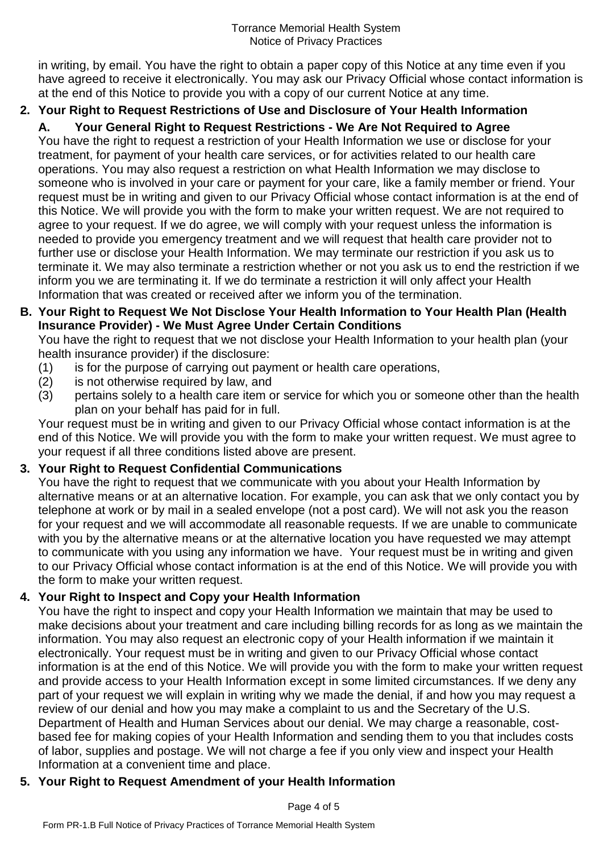in writing, by email. You have the right to obtain a paper copy of this Notice at any time even if you have agreed to receive it electronically. You may ask our Privacy Official whose contact information is at the end of this Notice to provide you with a copy of our current Notice at any time.

# **2. Your Right to Request Restrictions of Use and Disclosure of Your Health Information**

**A. Your General Right to Request Restrictions - We Are Not Required to Agree** You have the right to request a restriction of your Health Information we use or disclose for your treatment, for payment of your health care services, or for activities related to our health care operations. You may also request a restriction on what Health Information we may disclose to someone who is involved in your care or payment for your care, like a family member or friend. Your request must be in writing and given to our Privacy Official whose contact information is at the end of this Notice. We will provide you with the form to make your written request. We are not required to agree to your request. If we do agree, we will comply with your request unless the information is needed to provide you emergency treatment and we will request that health care provider not to further use or disclose your Health Information. We may terminate our restriction if you ask us to terminate it. We may also terminate a restriction whether or not you ask us to end the restriction if we inform you we are terminating it. If we do terminate a restriction it will only affect your Health Information that was created or received after we inform you of the termination.

## **B. Your Right to Request We Not Disclose Your Health Information to Your Health Plan (Health Insurance Provider) - We Must Agree Under Certain Conditions**

You have the right to request that we not disclose your Health Information to your health plan (your health insurance provider) if the disclosure:

- (1) is for the purpose of carrying out payment or health care operations,
- (2) is not otherwise required by law, and
- (3) pertains solely to a health care item or service for which you or someone other than the health plan on your behalf has paid for in full.

Your request must be in writing and given to our Privacy Official whose contact information is at the end of this Notice. We will provide you with the form to make your written request. We must agree to your request if all three conditions listed above are present.

# **3. Your Right to Request Confidential Communications**

You have the right to request that we communicate with you about your Health Information by alternative means or at an alternative location. For example, you can ask that we only contact you by telephone at work or by mail in a sealed envelope (not a post card). We will not ask you the reason for your request and we will accommodate all reasonable requests. If we are unable to communicate with you by the alternative means or at the alternative location you have requested we may attempt to communicate with you using any information we have. Your request must be in writing and given to our Privacy Official whose contact information is at the end of this Notice. We will provide you with the form to make your written request.

# **4. Your Right to Inspect and Copy your Health Information**

You have the right to inspect and copy your Health Information we maintain that may be used to make decisions about your treatment and care including billing records for as long as we maintain the information. You may also request an electronic copy of your Health information if we maintain it electronically. Your request must be in writing and given to our Privacy Official whose contact information is at the end of this Notice. We will provide you with the form to make your written request and provide access to your Health Information except in some limited circumstances. If we deny any part of your request we will explain in writing why we made the denial, if and how you may request a review of our denial and how you may make a complaint to us and the Secretary of the U.S. Department of Health and Human Services about our denial. We may charge a reasonable, costbased fee for making copies of your Health Information and sending them to you that includes costs of labor, supplies and postage. We will not charge a fee if you only view and inspect your Health Information at a convenient time and place.

# **5. Your Right to Request Amendment of your Health Information**